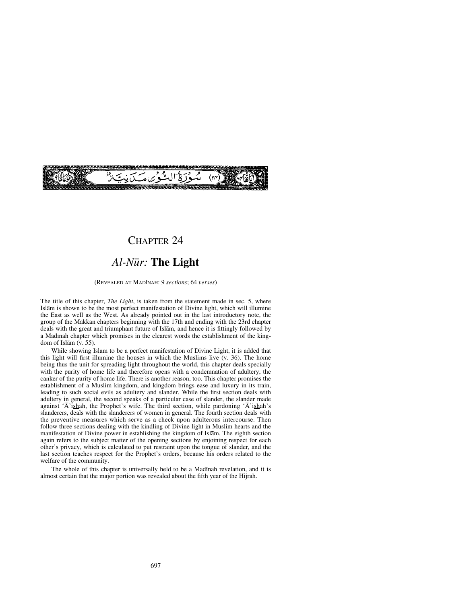# CHAPTER 24

# *Al-N∂r:* **The Light**

#### (REVEALED AT MADÍNAH: 9 *sections*; 64 *verses*)

The title of this chapter, *The Light*, is taken from the statement made in sec. 5, where Islåm is shown to be the most perfect manifestation of Divine light, which will illumine the East as well as the West. As already pointed out in the last introductory note, the group of the Makkan chapters beginning with the 17th and ending with the 23rd chapter deals with the great and triumphant future of Islåm, and hence it is fittingly followed by a Madinah chapter which promises in the clearest words the establishment of the kingdom of Islåm (v. 55).

While showing Islåm to be a perfect manifestation of Divine Light, it is added that this light will first illumine the houses in which the Muslims live (v. 36). The home being thus the unit for spreading light throughout the world, this chapter deals specially with the purity of home life and therefore opens with a condemnation of adultery, the canker of the purity of home life. There is another reason, too. This chapter promises the establishment of a Muslim kingdom, and kingdom brings ease and luxury in its train, leading to such social evils as adultery and slander. While the first section deals with adultery in general, the second speaks of a particular case of slander, the slander made against  $\overline{A}$ 'ishah, the Prophet's wife. The third section, while pardoning  $\overline{A}$ 'ishah's slanderers, deals with the slanderers of women in general. The fourth section deals with the preventive measures which serve as a check upon adulterous intercourse. Then follow three sections dealing with the kindling of Divine light in Muslim hearts and the manifestation of Divine power in establishing the kingdom of Islåm. The eighth section again refers to the subject matter of the opening sections by enjoining respect for each other's privacy, which is calculated to put restraint upon the tongue of slander, and the last section teaches respect for the Prophet's orders, because his orders related to the welfare of the community.

The whole of this chapter is universally held to be a Madinah revelation, and it is almost certain that the major portion was revealed about the fifth year of the Hijrah.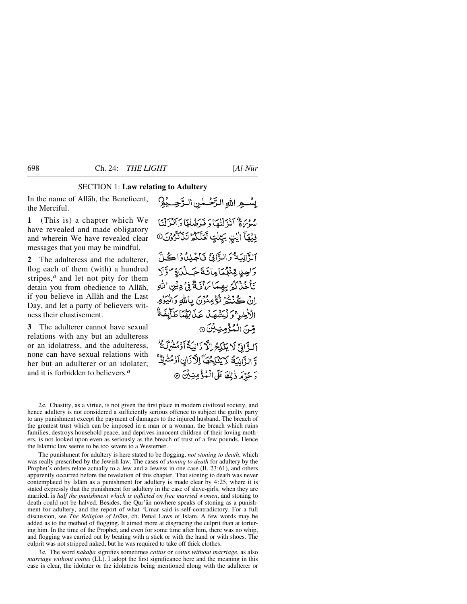### SECTION 1: **Law relating to Adultery**

In the name of Allåh, the Beneficent, the Merciful.

**1** (This is) a chapter which We have revealed and made obligatory and wherein We have revealed clear messages that you may be mindful.

**2** The adulteress and the adulterer, flog each of them (with) a hundred stripes,<sup>*a*</sup> and let not pity for them detain you from obedience to Allåh, if you believe in Allåh and the Last Day, and let a party of believers witness their chastisement.

**3** The adulterer cannot have sexual relations with any but an adulteress or an idolatress, and the adulteress, none can have sexual relations with her but an adulterer or an idolater; and it is forbidden to believers.*<sup>a</sup>*

بِسُّعِ اللهِ الزَّحْمٰنِ الرَّحِيْهِ ودرةَ آنْزَلْنَكَا دَ نَرَضْنَهَا دَ آنْزَلْنَا فِيْهَا الْذِي بَيِّنْتٍ تَعَلَّكُمُ تَنْكُرُّوْنَ۞ الزَّانِيَةُ وَالزَّانِيِّ نَاجُلِدُواكُلَّ 5 دىن قىنىگى مائەت جەلىدىق تولا تَأْخُذُكُمُ بِهِمَا بَرَأْنَ ثَمَّنُ دِيْنِ اللَّهِ إِنْ كُنْتُمْ تُؤْمِنُونَ بِاللَّهِ دَالْبَدُهِ الْأَخِيرَ ۚ وَ لَيَشْهَدُ عَذَابَهُمَا طَأَبِغَ قِنَ الْمُؤْمِنِيِّنَ ۞ آلَّ اذِي لَا يَنْكِحُ الْأَذَانِيَةَ آدْمُشْرَكَةً وَ الزَّانِيَّةُ لَا يَنْكِحُهَا اِلْأَزَانِ آَوْمُشْرِكٌ ۚ دَ حُدِّهَ ذٰلِكَ عَلَى الْمُؤْمِنِيْنَ ۞

The punishment for adultery is here stated to be flogging, *not stoning to death*, which was really prescribed by the Jewish law. The cases of *stoning to death* for adultery by the Prophet's orders relate actually to a Jew and a Jewess in one case (B. 23:61), and others apparently occurred before the revelation of this chapter. That stoning to death was never contemplated by Islåm as a punishment for adultery is made clear by 4:25, where it is stated expressly that the punishment for adultery in the case of slave-girls, when they are married, is *half the punishment which is inflicted on free married women*, and stoning to death could not be halved. Besides, the Qur'ån nowhere speaks of stoning as a punishment for adultery, and the report of what 'Umar said is self-contradictory. For a full discussion, see *The Religion of Islåm*, ch. Penal Laws of Islam. A few words may be added as to the method of flogging. It aimed more at disgracing the culprit than at torturing him. In the time of the Prophet, and even for some time after him, there was no whip, and flogging was carried out by beating with a stick or with the hand or with shoes. The culprit was not stripped naked, but he was required to take off thick clothes.

3*a.* The word *naka√a* signifies sometimes *coitus* or *coitus without marriage*, as also *marriage without coitus* (LL). I adopt the first significance here and the meaning in this case is clear, the idolater or the idolatress being mentioned along with the adulterer or

<sup>2</sup>*a.* Chastity, as a virtue, is not given the first place in modern civilized society, and hence adultery is not considered a sufficiently serious offence to subject the guilty party to any punishment except the payment of damages to the injured husband. The breach of the greatest trust which can be imposed in a man or a woman, the breach which ruins families, destroys household peace, and deprives innocent children of their loving mothers, is not looked upon even as seriously as the breach of trust of a few pounds. Hence the Islamic law seems to be too severe to a Westerner.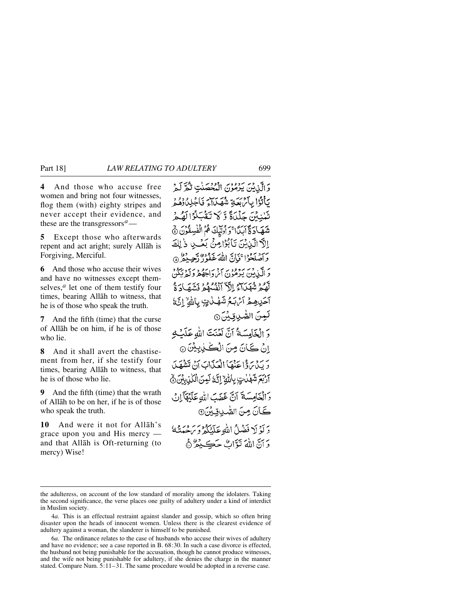**4** And those who accuse free women and bring not four witnesses, flog them (with) eighty stripes and never accept their evidence, and these are the transgressors*a*—

**5** Except those who afterwards repent and act aright; surely Allåh is Forgiving, Merciful.

**6** And those who accuse their wives and have no witnesses except themselves,*<sup>a</sup>* let one of them testify four times, bearing Allåh to witness, that he is of those who speak the truth.

**7** And the fifth (time) that the curse of Allåh be on him, if he is of those who lie.

**8** And it shall avert the chastisement from her, if she testify four times, bearing Allåh to witness, that he is of those who lie.

**9** And the fifth (time) that the wrath of Allåh to be on her, if he is of those who speak the truth.

**10** And were it not for Allåh's grace upon you and His mercy and that Allåh is Oft-returning (to mercy) Wise!

وَالَّذِينَ يَرْمُوْنَ الْمُحْصَنْتِ تَكُرَّكَمْ يَأْتُوْا بِآَمْ بَعَةٍ شُهَدَامَ فَأَجْلِدُوْهُمْ تَبْنِيْنَ حَلْيَاةً وَّ لَا تَقْبَلُوْا لَهُمْ شَهَادَةَ آبَدًا ۚ وَ وُلِيْكَ هُمُ الْفُسِقُوْنَ نَّ إِلَهِ الَّذِيْنَ تَأْبُوْا مِنْ بَعْبِ ذَٰ لِكَ وَاصْلَحُوْلَ فَإِنَّ اللَّهَ غَفُورٌ بَعِيدُهُ ۞ دَ الَّذِينَ يَبْرُمُونَ الْمَرْدَاجَهُ مَرْبَرَدٍ بِيَكُنَّ قود ميزب الاآتشام وتشهادة آحَدِهِـمْ أَئْرَبَـمُ شَهْبُ لِيَّ بِاللَّهِ ۚ إِنَّهُ لَعِنَ الصَّٰدِيقِيْنَ۞ وَ الْخَامِسَةُ أَنَّ لَعُنْتَ اللهِ عَلَمْـٰ إِنْ كَانَ مِنَ الْكَيْلِيِيْنَ ۞ يَرِ مِنْ وَإِنَّهَا الْعَيْدَابَ إِنَّ تَشْهَدَ آرْبَعَ شَهْدُتٍ بِأَلَيْهِ إِنَّهُ لَعِنَ ٱلْكُذِيبِينَ هَ دَ الْخَامِسَةَ آنَّ غَضَبَ اللهِ عَلَيْهَآ إِنْ كَانَ مِنَ الصُّدِيقِينَ۞ دَ لَوْ لَا فَضْلُ اللَّهِ عَلَيْكُمْ وَيَرْجَبَنَّهُ دَ آنَّ اللَّهَ تَوَّاتٌ حَڪِ دُمٌّ ۞

the adulteress, on account of the low standard of morality among the idolaters. Taking the second significance, the verse places one guilty of adultery under a kind of interdict in Muslim society.

<sup>4</sup>*a.* This is an effectual restraint against slander and gossip, which so often bring disaster upon the heads of innocent women. Unless there is the clearest evidence of adultery against a woman, the slanderer is himself to be punished.

<sup>6</sup>*a.* The ordinance relates to the case of husbands who accuse their wives of adultery and have no evidence; see a case reported in B. 68:30. In such a case divorce is effected, the husband not being punishable for the accusation, though he cannot produce witnesses, and the wife not being punishable for adultery, if she denies the charge in the manner stated. Compare Num. 5:11–31. The same procedure would be adopted in a reverse case.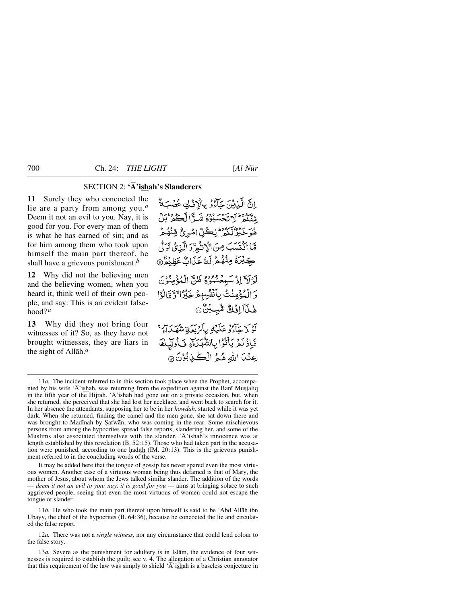# SECTION 2: **'Å'ishah's Slanderers**

**11** Surely they who concocted the lie are a party from among you.*<sup>a</sup>* Deem it not an evil to you. Nay, it is good for you. For every man of them is what he has earned of sin; and as for him among them who took upon himself the main part thereof, he shall have a grievous punishment.*<sup>b</sup>*

**12** Why did not the believing men and the believing women, when you heard it, think well of their own people, and say: This is an evident falsehood?*<sup>a</sup>*

**13** Why did they not bring four witnesses of it? So, as they have not brought witnesses, they are liars in the sight of Allåh.*<sup>a</sup>*

إِنَّ الَّذِينَ حَآءُوْ بِالْإِذْلِي عُصْبَةٌ وَيَدُوْ الْاِيْجَةَ يَدُوْهُ شَيْرًا لَكُمْ يَبْنُ هُوَ خَيْرٌ لَّكُمْ ۖ لِكُلِّ امْرِئٌ مِّنْهُمْ مَّا أَكْتَسَبَ مِنَ الْإِنْثَمِرَّدَ الَّذِيْ تَرَلَّىٰ كِبْرَةُ مِنْهُمْ لَهُ عَذَابٌ عَظِنْةٌ @ لَوْلَآ إِذْ سَيِعْتُمُوهُ ظَنَّ الْمُؤْمِنُونَ وَالْمُؤْمِنْتُ بِأَنْفُسِهِمْ خَيْرًا لَا تَالُوْا هٰذَآ اِفْكٌ مُّبِيَّنَّ @ .<br>لَوْ لَا جَاءُوْ عَلَيْهِ بِأَيْرِيَةٍ شَهْيَلاَءٍ \* فَإِذْ لَمْ يَأْتُرُا بِالشَّهَدَاةِ فَأُولِّيكَ عِنْدَا اللهِ هُمُّ الْكُنْدِبُوْنَ ۞

It may be added here that the tongue of gossip has never spared even the most virtuous women. Another case of a virtuous woman being thus defamed is that of Mary, the mother of Jesus, about whom the Jews talked similar slander. The addition of the words — *deem it not an evil to you: nay, it is good for you* — aims at bringing solace to such aggrieved people, seeing that even the most virtuous of women could not escape the tongue of slander.

11*b.* He who took the main part thereof upon himself is said to be 'Abd Allåh ibn Ubayy, the chief of the hypocrites (B. 64:36), because he concocted the lie and circulated the false report.

12*a.* There was not a *single witness*, nor any circumstance that could lend colour to the false story.

13*a.* Severe as the punishment for adultery is in Islåm, the evidence of four witnesses is required to establish the guilt; see v. 4. The allegation of a Christian annotator that this requirement of the law was simply to shield  $\overline{A}$  ishah is a baseless conjecture in

<sup>11</sup>*a.* The incident referred to in this section took place when the Prophet, accompanied by his wife 'Ā'ishah, was returning from the expedition against the Bani Mustaliq in the fifth year of the Hijrah. ' $\overline{A}$ 'ishah had gone out on a private occasion, but, when she returned, she perceived that she had lost her necklace, and went back to search for it. In her absence the attendants, supposing her to be in her *howdah*, started while it was yet dark. When she returned, finding the camel and the men gone, she sat down there and was brought to Madinah by Şafwān, who was coming in the rear. Some mischievous persons from among the hypocrites spread false reports, slandering her, and some of the Muslims also associated themselves with the slander. ' $\overline{A}$ 'ishah's innocence was at length established by this revelation (B. 52:15). Those who had taken part in the accusation were punished, according to one hadith  $(IM. 20:13)$ . This is the grievous punishment referred to in the concluding words of the verse.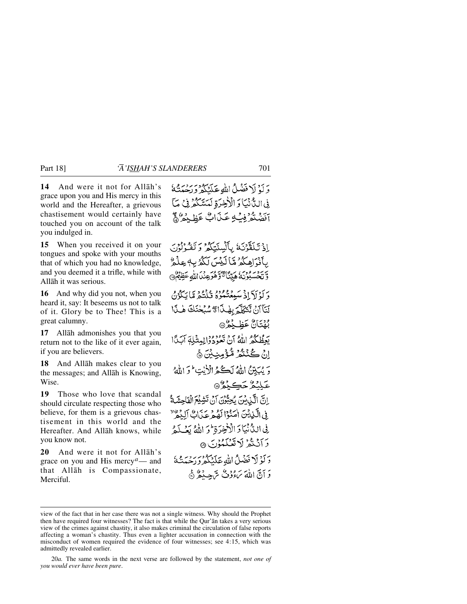**14** And were it not for Allåh's grace upon you and His mercy in this world and the Hereafter, a grievous chastisement would certainly have touched you on account of the talk you indulged in.

**15** When you received it on your tongues and spoke with your mouths that of which you had no knowledge, and you deemed it a trifle, while with Allåh it was serious.

**16** And why did you not, when you heard it, say: It beseems us not to talk of it. Glory be to Thee! This is a great calumny.

**17** Allåh admonishes you that you return not to the like of it ever again, if you are believers.

**18** And Allåh makes clear to you the messages; and Allåh is Knowing, Wise.

**19** Those who love that scandal should circulate respecting those who believe, for them is a grievous chastisement in this world and the Hereafter. And Allåh knows, while you know not.

**20** And were it not for Allåh's grace on you and His mercy*a*— and that Allåh is Compassionate, Merciful.

دَ كَهُ لَا فَضْلُ اللَّهِ عَلَمْكُمْ وَرَدْيَهُ ﴾ فِي اللَّهُ نَبَادَ الْأَخِرَةِ لَمَسَّكَّرُ فِي مَا آفضنَّهُ فِبْ2ٍ عَيْدَاتٌ عَظِيْهِمْ ﴾

إِذْ تَكَفَّرْنَكُ بِأَلْسِنَتِكُمْ وَتَقْدُلُونَ بِأَنْوَاهِكُمْ مَّا لَيْسَ لَكُمُ بِهِ عِلْمٌ وَتَحْسَبُونَ مَيِّنًا تَوَهُوَعِنْدَاللَّهِ عَظِيْمٌ د كۆلىكى ئەسىد قەقرەم قىلىشمۇ قىيا ئىگۇرى لَنَآَانٌ تَتَكَلَّمَ بِهٰذَا تَّشْبُحْنَكَ هٰذَا بُهُتَانٌ عَظِيْمٌ ۞ يَعِظُّكُمُ اللَّهُ أَنْ تَعُودُوْالِمِثْلِهِ أَبَدَأَا إِنْ كُنْنَثُمْ مُثْؤُمِنِينَ ۞ وَيُبَيِّنُ اللَّهُ لَكُمُ الْأَيْتِ لَوَ اللَّهُ عَلِّنْهُ حَڪِيْمُ*ُ* إِنَّ الَّذِينُ يُحِبُّوْنَ أَنْ تَشِيْعَ الْفَاحِشَةُ ِ فِي الَّذِينَ أَصَنُوْا لَهُمْ عَذَابٌ ٱلِدُّهُ ۚ فِي الدُّنْيَادَ الْأَخِدَةِ ثُوَ اللَّهُ بَصْلَهُ دَ أَنْ ثَدْرُ لَا تَعْبَكْبُوْنَ ۞ دَ لَوْ لَا فَضْلُ اللَّهُ عَلَيْكُمْ دَرِجْيَتُهُ ۚ

وَ أَنَّ اللَّهَ بَءُدُونٌ بِرَّجِيبُهُ ﴿

view of the fact that in her case there was not a single witness. Why should the Prophet then have required four witnesses? The fact is that while the Qur'ån takes a very serious view of the crimes against chastity, it also makes criminal the circulation of false reports affecting a woman's chastity. Thus even a lighter accusation in connection with the misconduct of women required the evidence of four witnesses; see 4:15, which was admittedly revealed earlier.

<sup>20</sup>*a.* The same words in the next verse are followed by the statement, *not one of you would ever have been pure*.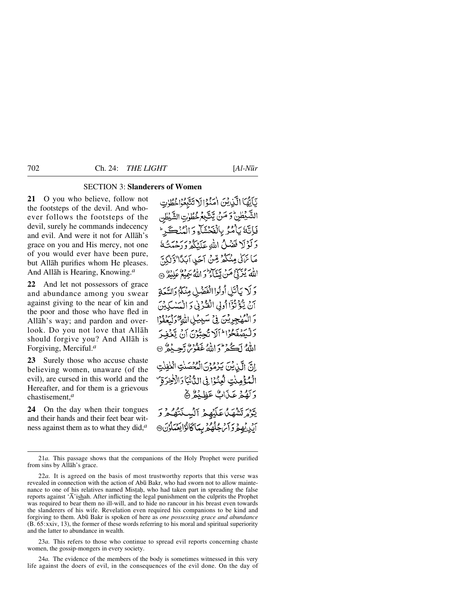# SECTION 3: **Slanderers of Women**

**21** O you who believe, follow not the footsteps of the devil. And whoever follows the footsteps of the devil, surely he commands indecency and evil. And were it not for Allåh's grace on you and His mercy, not one of you would ever have been pure, but Allåh purifies whom He pleases. And Allåh is Hearing, Knowing.*<sup>a</sup>*

**22** And let not possessors of grace and abundance among you swear against giving to the near of kin and the poor and those who have fled in Allåh's way; and pardon and overlook. Do you not love that Allåh should forgive you? And Allåh is Forgiving, Merciful.*<sup>a</sup>*

**23** Surely those who accuse chaste believing women, unaware (of the evil), are cursed in this world and the Hereafter, and for them is a grievous chastisement,*<sup>a</sup>*

**24** On the day when their tongues and their hands and their feet bear witness against them as to what they did,*<sup>a</sup>*

يَآَيُّهَا الَّذِينَ امْنُوْالَاتَتَّبِعُوْاخُطُوٰتِ الشَّيْطٰنِ ۖ وَ مَنْ يَّتَّـٰبِمُ خُطُوٰتِ الشَّيْطٰنِ فَإِنَّهُ يَأْمُرُ بِالْفَحْشَاءِ وَالْمُنْڪَرِّ وَلَوْلَا فَضْلُ اللَّهِ عَلَيْكُمْ وَرَحْمَتُهُ مَا نَرَكَىٰ مِنْكُمْ مِّنْ آحَدِ آبَدًا ٰوَّلَٰكِ ۖ اللَّهَ يُزَيِّنَّ مَنْ يَبَيَّنَاءُ وَ اللَّهُ سَمِيعُ عَلِيْمٌ (ْ ۖ وَلَا يَأْتَلِ أُولُوا الْفَصْلِ مِنْكُمْ وَالسَّعَةِ آنْ يْݣُوْتْرْاً أُولِي الْفْكْرْنِي وَ الْمَسْكِيْنَ وَالنَّهْلِجِرِيْنَ فِي سَبِيْلِ اللَّهِ مَنْ دَرْدُوا وَلَيَصْفَحُوْا ۖ أَلَلَ تُجِبُّوْنَ إِنْ يَّعْفِدَ اللهُ لَكُمْ وَإِنَّهُ غَفُوْرٌ رَّجِيدٌ ۞ انَّ الَّذِيْنَ يَرْمُوْنَ الْمُحْصَنٰتِ الْغٰفِلْتِ الْمُؤْمِنْتِ لُعِنُوْا فِي الدَّنْيَا رَالْأَخِرَةِ ۖ وَ لَهُمْ عَذَابٌ عَظِيْمٌ ﴾ يَّةُ مَتَشْهَلُاعَلَّهُمْ آلْسِنَتْهُمْ وَ آبِ يُهِمْ وَآسْ جُلُّهُمْ بِمَاكَانُوْايِعْدَلُوْنَ@

21*a.* This passage shows that the companions of the Holy Prophet were purified from sins by Allåh's grace.

23*a.* This refers to those who continue to spread evil reports concerning chaste women, the gossip-mongers in every society.

24*a.* The evidence of the members of the body is sometimes witnessed in this very life against the doers of evil, in the consequences of the evil done. On the day of

<sup>22</sup>*a.* It is agreed on the basis of most trustworthy reports that this verse was revealed in connection with the action of Abū Bakr, who had sworn not to allow maintenance to one of his relatives named Mistah, who had taken part in spreading the false reports against  $\overline{A}$ 'ishah. After inflicting the legal punishment on the culprits the Prophet was required to bear them no ill-will, and to hide no rancour in his breast even towards the slanderers of his wife. Revelation even required his companions to be kind and forgiving to them. Ab∂ Bakr is spoken of here as *one possessing grace and abundance* (B. 65:xxiv, 13), the former of these words referring to his moral and spiritual superiority and the latter to abundance in wealth.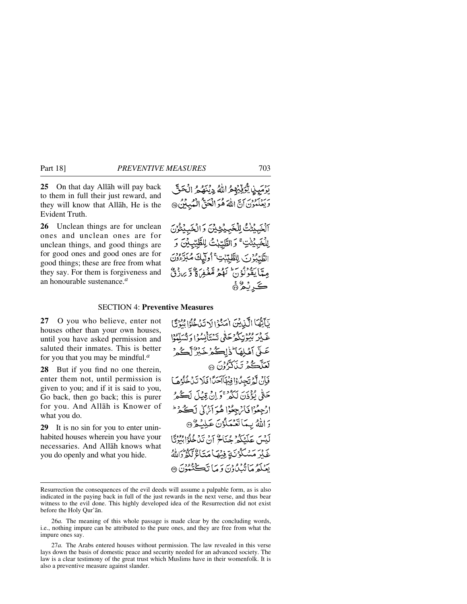**25** On that day Allåh will pay back to them in full their just reward, and they will know that Allåh, He is the Evident Truth.

**26** Unclean things are for unclean ones and unclean ones are for unclean things, and good things are for good ones and good ones are for good things; these are free from what they say. For them is forgiveness and an honourable sustenance.*<sup>a</sup>*

يَوْمَيِنِ يُؤَفِّيْهِمْ اللَّهُ دِيْنَهُمْ الْحَقَّ وَيَعْلَمُوْنَ آنَّ اللَّهَ هُوَ الْحَقُّ الْمُبِبِّيُّ @

آلْخَبِيَّتْتُ لِلْخَبِيِّتِيِّيْنَ وَالْخَبِيِّتُوْنَ لِلْخَبِيْتِنِ ۚ وَالطَّيِّبِٰتُ لِلطَّيِّبِيْنَ وَ الطَّبّْدُنَ لِلطَّيِّبٰتِ ۚ أُولَّيكَ مُبَرِّءُونَ معان وفرس لود قربر و ته برن ده. ڪَرنگوڻ

#### SECTION 4: **Preventive Measures**

**27** O you who believe, enter not houses other than your own houses, until you have asked permission and saluted their inmates. This is better for you that you may be mindful.*<sup>a</sup>*

**28** But if you find no one therein, enter them not, until permission is given to you; and if it is said to you, Go back, then go back; this is purer for you. And Allåh is Knower of what you do.

**29** It is no sin for you to enter uninhabited houses wherein you have your necessaries. And Allåh knows what you do openly and what you hide.

يَأَيُّهَا الْكِنِيْنَ اٰهَنُّوۡ الۡدَ تَنۡدُهُمُوۡ اللَّهِ مِنۡ ٱلۡ بر در وور معرضتي ستأنسوا وتسلموا عَـلَّى أَهْلِهَا ۖ ذَٰ لِڪُمْ خَبِيرٌ لَٓڪُمْ ' لَعَلَّكُمْ تَنَكَّرُُونَ ۞ فَإِنَّ لَمَّ تَجِدُوْا فِيُهَاآَحَدًا فَلَا تَدَخَّلُوْهَا حَتَّىٰ بُؤْذَنَ لَكُمْ ۚ وَ إِنْ قِيْلَ لَڪُمْ ارْجِعُوْا فَأَنْ جِعُوْا هُوَ أَنْهَىٰ لَڪُمْ ۖ ۖ دَ اللَّهُ بِيمَا تَعْمَلُوْنَ عَلِيْكُمْ @ لَّدْسَ عَلَيْكُمْ حُيَاحٌ إِنْ تَدْخُلُوا بِيُوتَّا غَلْمْ مَسْكُرُ نَةٍ فِيْهَا مَتَاءٌ لَّكُمْ دَاللَّهُ بَيْنِكُمْ مَا يُدْرُودِيَ وَ مَا نَڪِنْدُودِي هِ،

Resurrection the consequences of the evil deeds will assume a palpable form, as is also indicated in the paying back in full of the just rewards in the next verse, and thus bear witness to the evil done. This highly developed idea of the Resurrection did not exist before the Holy Qur'ån.

<sup>26</sup>*a.* The meaning of this whole passage is made clear by the concluding words, i.e., nothing impure can be attributed to the pure ones, and they are free from what the impure ones say.

<sup>27</sup>*a.* The Arabs entered houses without permission. The law revealed in this verse lays down the basis of domestic peace and security needed for an advanced society. The law is a clear testimony of the great trust which Muslims have in their womenfolk. It is also a preventive measure against slander.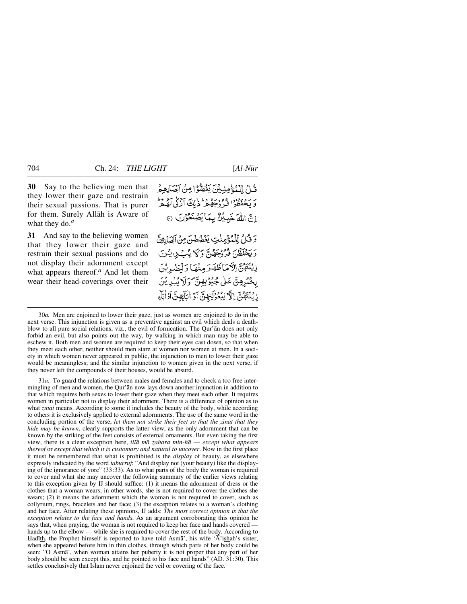**30** Say to the believing men that they lower their gaze and restrain their sexual passions. That is purer for them. Surely Allåh is Aware of what they do.*<sup>a</sup>*

**31** And say to the believing women that they lower their gaze and restrain their sexual passions and do not display their adornment except what appears thereof.*<sup>a</sup>* And let them wear their head-coverings over their قُلْ لِّلْمُؤْمِنِيْنَ يَغُصُّوْا مِنْ آبَضَانِهِمْ بر بردنده<br>و پخفظوا فروجههر ذلك ازلي له د إِنَّ اللَّهَ خَبِيْرٌ بِمَا يَصْنَعُوْنَ ۞ وَقَّلْ لِّلْمُؤْمِنْتِ يَغْضُضُنَ مِنْ آشَارِهِنَّ وَيَخْفَظُنَ فَرُوْجَهُنَّ وَكَمْ يُبْ بِي بِيْنَ زِيْنَتَهُنَّ اِلْآمَاظَهَرَ مِنْهَا وَلَمَنْدِبْنَ

بِخْبُرِهِنَّ عَلَى جُيُوْبِهِنَّ وَلَا يُبْلِيُنَ زِيْنَتَهُنَّ إِلاَّ لِبُعُوْلَتِهِنَّ آوُ إِيَابِهِنَّ آوُ إِيَاءِ

30*a.* Men are enjoined to lower their gaze, just as women are enjoined to do in the next verse. This injunction is given as a preventive against an evil which deals a deathblow to all pure social relations, viz., the evil of fornication. The Qur'ån does not only forbid an evil, but also points out the way, by walking in which man may be able to eschew it. Both men and women are required to keep their eyes cast down, so that when they meet each other, neither should men stare at women nor women at men. In a society in which women never appeared in public, the injunction to men to lower their gaze would be meaningless; and the similar injunction to women given in the next verse, if they never left the compounds of their houses, would be absurd.

31*a.* To guard the relations between males and females and to check a too free intermingling of men and women, the Qur'ån now lays down another injunction in addition to that which requires both sexes to lower their gaze when they meet each other. It requires women in particular not to display their adornment. There is a difference of opinion as to what *zinat* means. According to some it includes the beauty of the body, while according to others it is exclusively applied to external adornments. The use of the same word in the concluding portion of the verse, *let them not strike their feet so that the zinat that they hide may be known*, clearly supports the latter view, as the only adornment that can be known by the striking of the feet consists of external ornaments. But even taking the first view, there is a clear exception here, *illa ma zahara min-hā* — *except what appears thereof* or *except that which it is customary and natural to uncover*. Now in the first place it must be remembered that what is prohibited is the *display* of beauty, as elsewhere expressly indicated by the word *taburruj*: "And display not (your beauty) like the displaying of the ignorance of yore" (33:33). As to what parts of the body the woman is required to cover and what she may uncover the following summary of the earlier views relating to this exception given by IJ should suffice: (1) it means the adornment of dress or the clothes that a woman wears; in other words, she is not required to cover the clothes she wears; (2) it means the adornment which the woman is not required to cover, such as collyrium, rings, bracelets and her face; (3) the exception relates to a woman's clothing and her face. After relating these opinions, IJ adds: *The most correct opinion is that the exception relates to the face and hands*. As an argument corroborating this opinion he says that, when praying, the woman is not required to keep her face and hands covered hands up to the elbow — while she is required to cover the rest of the body. According to Hadith, the Prophet himself is reported to have told Asma', his wife ' $\vec{A}$ 'ishah's sister, when she appeared before him in thin clothes, through which parts of her body could be seen: "O Asmå', when woman attains her puberty it is not proper that any part of her body should be seen except this, and he pointed to his face and hands" (AD. 31:30). This settles conclusively that Islåm never enjoined the veil or covering of the face.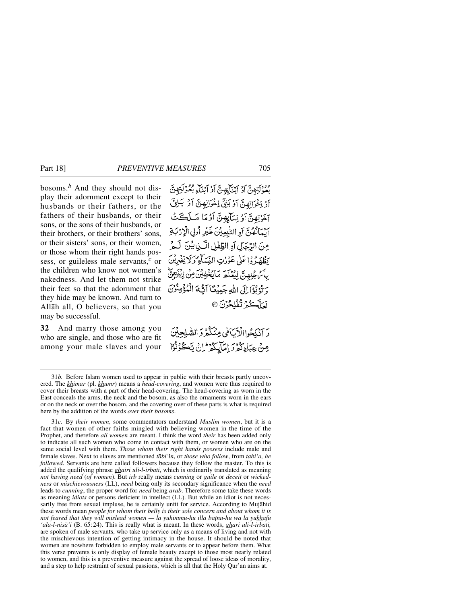bosoms.*<sup>b</sup>* And they should not display their adornment except to their husbands or their fathers, or the fathers of their husbands, or their sons, or the sons of their husbands, or their brothers, or their brothers' sons, or their sisters' sons, or their women, or those whom their right hands possess, or guileless male servants,*<sup>c</sup>* or the children who know not women's nakedness. And let them not strike their feet so that the adornment that they hide may be known. And turn to Allåh all, O believers, so that you may be successful.

**32** And marry those among you who are single, and those who are fit among your male slaves and your

وودي ترجيح وبحيايه تي آو آبناءِ بعُوْلَةِ بِنَّ آؤُ لِخْوَانِهِنَّ آوُ بَيْنِ لِخْوَانِهِنَّ آوُ بَيْنِيَ آخَرْتِهِنَّ أَوْ نِسَاءٍ فِينَ أَوْمَا مَسلَكَتُ آيْمَانُهُنَّ آوِ التَّبِيِينَ غَيْرِ أُولِي الْإِرْبَةِ مِنَ الرِّجَالِ أَوِ الطِّفْلِ الَّيْنِ يُنَ لَهُ يَظْهَرُوا عَلَى عَوْرِتِ النِّسَاءِ وَلَا يَضْرِبْنَ بِأَمْ جُلِهِنَّ لِيُعْلَمَ مَايُخْفِيْنَ مِنْ زِيْنَزِينَّ وَتَوْلَوْا إِلَى اللَّهِ جَيِيْعًا آَتَّهُ ٱلْمُؤْمِنُوْنَ لَعَلَيْكُمْ تُفْلِحُوْنَ @

دَ أَنْكِحُواالْآيَامِي مِنْكُثْرَ دَ الصَّلِحِينَ مِنْ عِبَادِكُرْ دَامَاتِكُمْ إِنْ يَكُونُوْا

31*c.* By *their women*, some commentators understand *Muslim women*, but it is a fact that women of other faiths mingled with believing women in the time of the Prophet, and therefore *all women* are meant. I think the word *their* has been added only to indicate all such women who come in contact with them, or women who are on the same social level with them. *Those whom their right hands possess* include male and female slaves. Next to slaves are mentioned *tåbi'ßn*, or *those who follow*, from *tabi'a, he followed*. Servants are here called followers because they follow the master. To this is added the qualifying phrase *ghairi uli-l-irbati*, which is ordinarily translated as meaning *not having need* (*of women*). But *irb* really means *cunning* or *guile* or *deceit* or *wickedness* or *mischievousness* (LL), *need* being only its secondary significance when the *need* leads to *cunning*, the proper word for *need* being *arab*. Therefore some take these words as meaning *idiots* or persons deficient in intellect (LL). But while an idiot is not necessarily free from sexual impluse, he is certainly unfit for service. According to Mujåhid these words mean *people for whom their belly is their sole concern and about whom it is not feared that they will mislead women — la yuhimmu-hū illā baṭnu-hū wa lā yukhāfu 'ala-l-niså'i* (B. 65:24). This is really what is meant. In these words, *ghari uli-l-irbati,* are spoken of male servants, who take up service only as a means of living and not with the mischievous intention of getting intimacy in the house. It should be noted that women are nowhere forbidden to employ male servants or to appear before them. What this verse prevents is only display of female beauty except to those most nearly related to women, and this is a preventive measure against the spread of loose ideas of morality, and a step to help restraint of sexual passions, which is all that the Holy Qur'ån aims at.

<sup>31</sup>*b.* Before Islåm women used to appear in public with their breasts partly uncovered. The *khimår* (pl. *khumr*) means a *head-covering*, and women were thus required to cover their breasts with a part of their head-covering. The head-covering as worn in the East conceals the arms, the neck and the bosom, as also the ornaments worn in the ears or on the neck or over the bosom, and the covering over of these parts is what is required here by the addition of the words *over their bosoms*.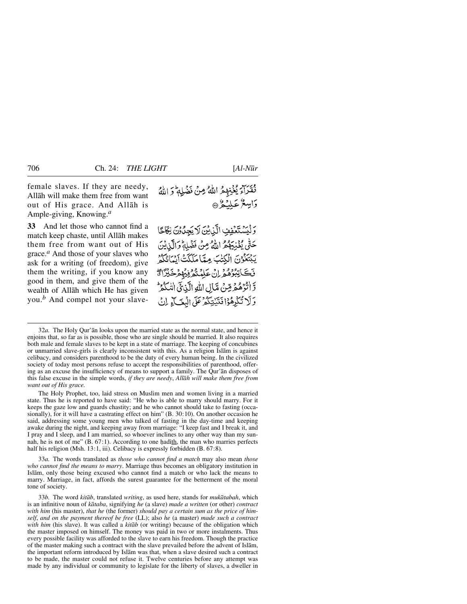female slaves. If they are needy, Allåh will make them free from want out of His grace. And Allåh is Ample-giving, Knowing.*<sup>a</sup>*

**33** And let those who cannot find a match keep chaste, until Allåh makes them free from want out of His grace.*<sup>a</sup>* And those of your slaves who ask for a writing (of freedom), give them the writing, if you know any good in them, and give them of the wealth of Allåh which He has given you.*<sup>b</sup>* And compel not your slaveفُقْرَاءَ يُغْنِهِمُ اللَّهُ مِنْ نَضُلِهِمْ وَاللَّهُ دَامِيعٌ عَلْيَةٌ ۞

وَلَيَسْتَعْفِفِ الَّذِيْنَ لَا يَجِنُّوْنَ نِكَاحًا حَتَّىٰ يُغْنِيَهُمُّ اللَّهُ مِنْ فَقَٰلِهٖ وَالَّذِينَ يَبْتَعْوُنَ الْكِتْبَ مِمَّا مَلَكَتْ آيَنَائِكُمْ فَكَاتِبُرُهُمُ إِنْ عَلِمُتُمُوفِيهُمْ خَيْرًا قَ وَ اتْرَهُمَ قِنْ مَّالِ اللهِ الَّذِيَّ اللهُ الله وَلَا تُكْمِفُوْا فَتَنْتِكُمْ عَلَى الْبِغَ بِي إِنْ

32*a.* The Holy Qur'ån looks upon the married state as the normal state, and hence it enjoins that, so far as is possible, those who are single should be married. It also requires both male and female slaves to be kept in a state of marriage. The keeping of concubines or unmarried slave-girls is clearly inconsistent with this. As a religion Islåm is against celibacy, and considers parenthood to be the duty of every human being. In the civilized society of today most persons refuse to accept the responsibilities of parenthood, offering as an excuse the insufficiency of means to support a family. The Qur'ån disposes of this false excuse in the simple words, *if they are needy*, *Allåh will make them free from want out of His grace.*

The Holy Prophet, too, laid stress on Muslim men and women living in a married state. Thus he is reported to have said: "He who is able to marry should marry. For it keeps the gaze low and guards chastity; and he who cannot should take to fasting (occasionally), for it will have a castrating effect on him" (B. 30:10). On another occasion he said, addressing some young men who talked of fasting in the day-time and keeping awake during the night, and keeping away from marriage: "I keep fast and I break it, and I pray and I sleep, and I am married, so whoever inclines to any other way than my sunnah, he is not of me"  $(B. 67:1)$ . According to one hadith, the man who marries perfects half his religion (Msh. 13:1, iii). Celibacy is expressly forbidden (B. 67:8).

33*a.* The words translated as *those who cannot find a match* may also mean *those who cannot find the means to marry*. Marriage thus becomes an obligatory institution in Islåm, only those being excused who cannot find a match or who lack the means to marry. Marriage, in fact, affords the surest guarantee for the betterment of the moral tone of society.

33*b.* The word *kitåb*, translated *writing*, as used here, stands for *mukåtabah*, which is an infinitive noun of *kåtaba*, signifying *he* (a slave) *made a written* (or other) *contract with him* (his master), *that he* (the former) *should pay a certain sum as the price of himself*, *and on the payment thereof be free* (LL); also *he* (a master) *made such a contract with him* (his slave). It was called a *kitåb* (or writing) because of the obligation which the master imposed on himself. The money was paid in two or more instalments. Thus every possible facility was afforded to the slave to earn his freedom. Though the practice of the master making such a contract with the slave prevailed before the advent of Islåm, the important reform introduced by Islåm was that, when a slave desired such a contract to be made, the master could not refuse it. Twelve centuries before any attempt was made by any individual or community to legislate for the liberty of slaves, a dweller in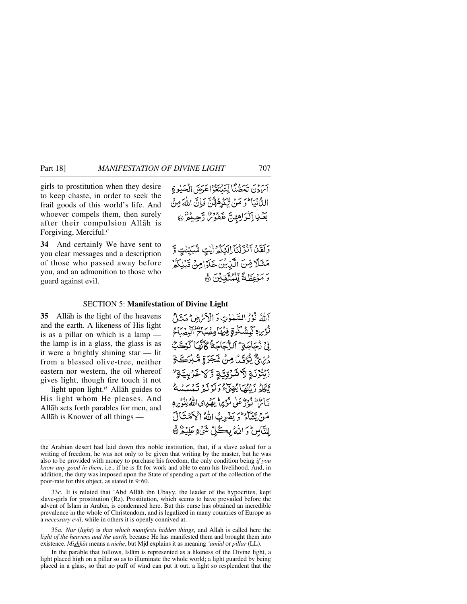girls to prostitution when they desire to keep chaste, in order to seek the frail goods of this world's life. And whoever compels them, then surely after their compulsion Allåh is Forgiving, Merciful.*<sup>c</sup>*

**34** And certainly We have sent to you clear messages and a description of those who passed away before you, and an admonition to those who guard against evil.

بِرَ دِيَ تَحَصُّنَا لِتَنْتَغُوْاعَدَيْنِ الْحَيْوِ ةِ الِّذَّيْنَا ۖ وَ مَنْ تَكْدِهُوْنَ ۚ وَبِاَنَّ اللَّهَ مِنْ بَعْلِ إِلَيْرَاهِهِنَّ غَفُوْسُ رَّحِيْمُ \* \*

وَلَقَدْ آَنْزَلْنَآ اِلَيْكُمْ إِيْتٍ مُّبَيِّنْتٍ وَّ مَثَلًا مِّنَ الَّزِيْنَ خَلَوْامِنْ قَبْلِكُمْ رَ مَوْعِظَةً لِّلْمُتَّقِيِّنَ ﴾

### SECTION 5: **Manifestation of Divine Light**

**35** Allåh is the light of the heavens and the earth. A likeness of His light is as a pillar on which is a lamp the lamp is in a glass, the glass is as it were a brightly shining star — lit from a blessed olive-tree, neither eastern nor western, the oil whereof gives light, though fire touch it not — light upon light.*<sup>a</sup>* Allåh guides to His light whom He pleases. And Allåh sets forth parables for men, and Allåh is Knower of all things —

أَمِلْهُ نُوْدُ السَّعْوٰتِ وَ الْأَدَيْرِهِ بِمُعَشَلُ نُؤْيِرِ \$ كَمِشْكُوةٍ فِيُهَا مِصْبَاحٌ الْبِصْدِ زِرْ زُجَاجَةٍ ۖ ٱلزَّجَاجَةُ كَأَنَّهَا كَرْجَ دُيِّنَ ۗ يُؤْتَىٰ مِنْ شَجَرَةِ مُّـٰبِرَكَ رَنْتُوْنَةِ لَلْاشْرُقِنَّةِ وَكَلاغَرْبِيَّةٍ لِا تَكَادُ دَيْنَكَمَا يُضِيَّ وَلَوْ لَمْ تَبْدَسَهْ بَأَعْظَ دُورٌ عَلَى مُؤْمِراً بِهَيْدِي اللَّهُ لِنُوْمِ هِ مَنْ يَشَاءِ وَيَضْرِبُ اللَّهُ الْمَهَمْنَالَ لِلنَّاسِ وَاللَّهُ بِكُلِّ شَيْءٍ عَلِيْهُ ﴾

33*c.* It is related that 'Abd Allåh ibn Ubayy, the leader of the hypocrites, kept slave-girls for prostitution (Rz). Prostitution, which seems to have prevailed before the advent of Islåm in Arabia, is condemned here. But this curse has obtained an incredible prevalence in the whole of Christendom, and is legalized in many countries of Europe as a *necessary evil*, while in others it is openly connived at.

35*a. N∂r* (*light*) is *that which manifests hidden things*, and Allåh is called here the *light of the heavens and the earth*, because He has manifested them and brought them into existence. *Mishkåt* means a *niche*, but Mjd explains it as meaning *'am∂d* or *pillar* (LL).

In the parable that follows, Islåm is represented as a likeness of the Divine light, a light placed high on a pillar so as to illuminate the whole world; a light guarded by being placed in a glass, so that no puff of wind can put it out; a light so resplendent that the

the Arabian desert had laid down this noble institution, that, if a slave asked for a writing of freedom, he was not only to be given that writing by the master, but he was also to be provided with money to purchase his freedom, the only condition being *if you know any good in them*, i.e., if he is fit for work and able to earn his livelihood. And, in addition, the duty was imposed upon the State of spending a part of the collection of the poor-rate for this object, as stated in 9:60.